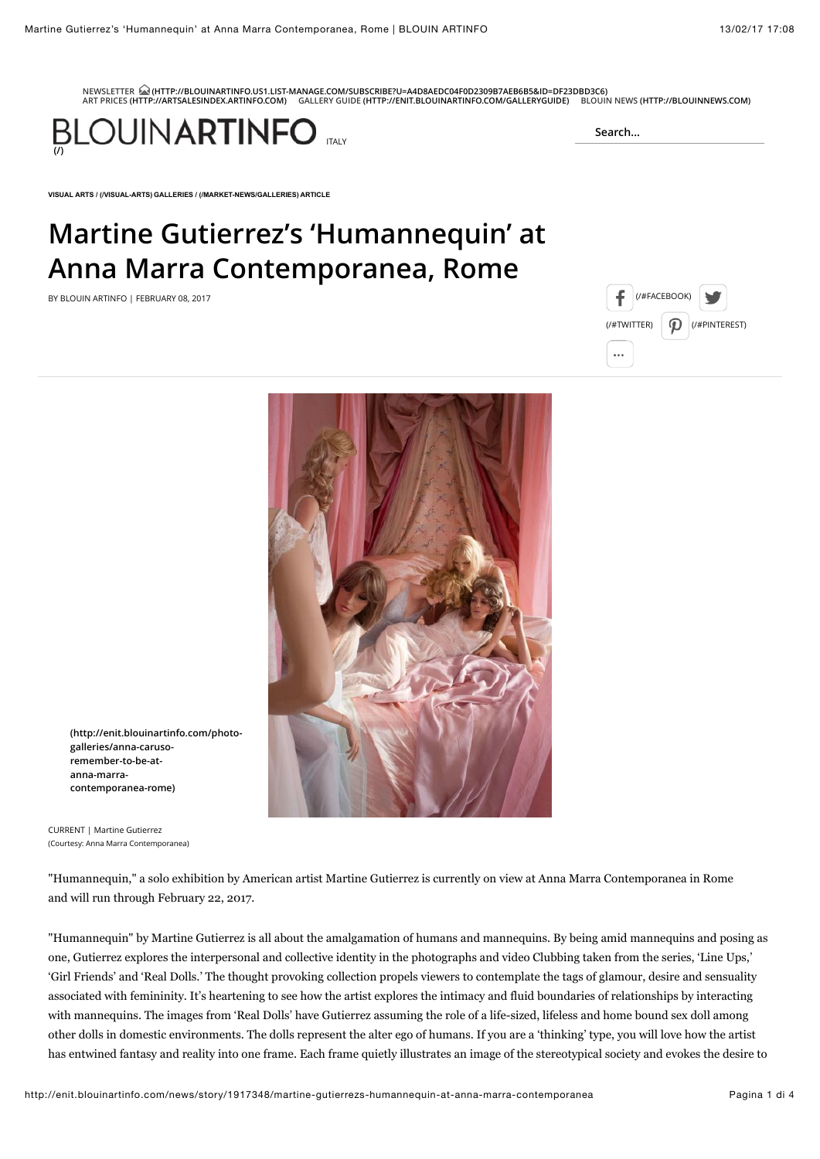**[NEWSLETTER \(HTTP://BLOUINARTINFO.US1.LIST-MANAGE.COM/SUBSCRIBE?U=A4D8AEDC04F0D2309B7AEB6B5&ID=DF23DBD3C6\)](http://blouinartinfo.us1.list-manage.com/subscribe?u=a4d8aedc04f0d2309b7aeb6b5&id=df23dbd3c6) [ART PRICES \(HTTP://ARTSALESINDEX.ARTINFO.COM\)](http://artsalesindex.artinfo.com/) [GALLERY GUIDE \(HTTP://ENIT.BLOUINARTINFO.COM/GALLERYGUIDE\)](http://enit.blouinartinfo.com/galleryguide) [BLOUIN NEWS \(HTTP://BLOUINNEWS.COM\)](http://blouinnews.com/)**



**[VISUAL ARTS / \(/VISUAL-ARTS\)](http://enit.blouinartinfo.com/visual-arts) [GALLERIES / \(/MARKET-NEWS/GALLERIES\)](http://enit.blouinartinfo.com/market-news/galleries) ARTICLE**

## **Martine Gutierrez's 'Humannequin' at Anna Marra Contemporanea, Rome**

BY BLOUIN ARTINFO I FEBRUARY 08. 2017 **Example 2018** The state of the state of the state of the state of the state of the state of the state of the state of the state of the state of the state of the state of the state of



**Search...**



**[\(http://enit.blouinartinfo.com/photo](http://enit.blouinartinfo.com/photo-galleries/anna-caruso-remember-to-be-at-anna-marra-contemporanea-rome)galleries/anna-carusoremember-to-be-atanna-marracontemporanea-rome)**

CURRENT | Martine Gutierrez (Courtesy: Anna Marra Contemporanea)

"Humannequin," a solo exhibition by American artist Martine Gutierrez is currently on view at Anna Marra Contemporanea in Rome and will run through February 22, 2017.

"Humannequin" by Martine Gutierrez is all about the amalgamation of humans and mannequins. By being amid mannequins and posing as one, Gutierrez explores the interpersonal and collective identity in the photographs and video Clubbing taken from the series, 'Line Ups,' 'Girl Friends' and 'Real Dolls.' The thought provoking collection propels viewers to contemplate the tags of glamour, desire and sensuality associated with femininity. It's heartening to see how the artist explores the intimacy and fluid boundaries of relationships by interacting with mannequins. The images from 'Real Dolls' have Gutierrez assuming the role of a life-sized, lifeless and home bound sex doll among other dolls in domestic environments. The dolls represent the alter ego of humans. If you are a 'thinking' type, you will love how the artist has entwined fantasy and reality into one frame. Each frame quietly illustrates an image of the stereotypical society and evokes the desire to